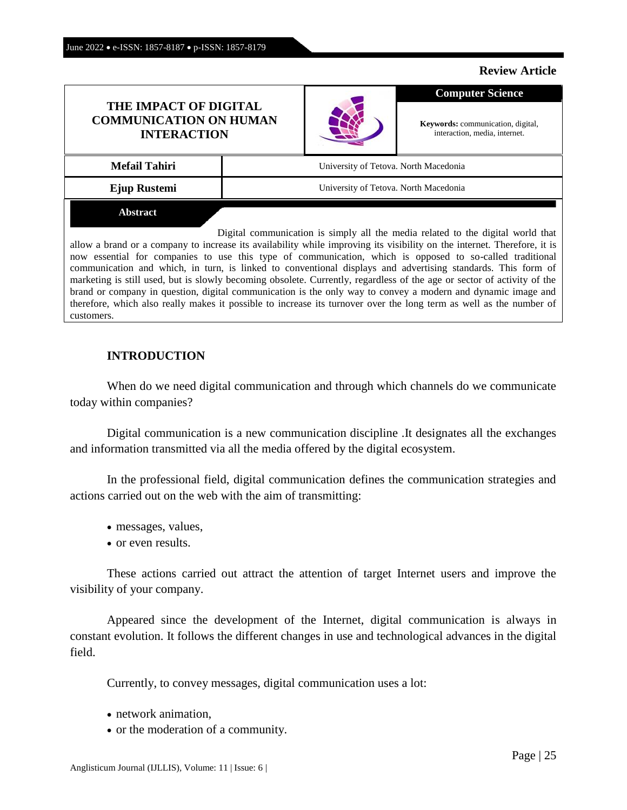#### **Review Article**

| THE IMPACT OF DIGITAL<br><b>COMMUNICATION ON HUMAN</b><br><b>INTERACTION</b> |                                       |  | <b>Computer Science</b>                                                    |
|------------------------------------------------------------------------------|---------------------------------------|--|----------------------------------------------------------------------------|
|                                                                              |                                       |  | <b>Keywords:</b> communication, digital,<br>interaction, media, internet.  |
| <b>Mefail Tahiri</b>                                                         | University of Tetova. North Macedonia |  |                                                                            |
| Ejup Rustemi                                                                 | University of Tetova. North Macedonia |  |                                                                            |
| <b>Abstract</b>                                                              |                                       |  |                                                                            |
|                                                                              |                                       |  | Digital communication is simply all the media related to the digital world |

al world that allow a brand or a company to increase its availability while improving its visibility on the internet. Therefore, it is now essential for companies to use this type of communication, which is opposed to so-called traditional communication and which, in turn, is linked to conventional displays and advertising standards. This form of marketing is still used, but is slowly becoming obsolete. Currently, regardless of the age or sector of activity of the brand or company in question, digital communication is the only way to convey a modern and dynamic image and therefore, which also really makes it possible to increase its turnover over the long term as well as the number of customers.

## **INTRODUCTION**

When do we need digital communication and through which channels do we communicate today within companies?

Digital communication is a new communication discipline .It designates all the exchanges and information transmitted via all the media offered by the digital ecosystem.

In the professional field, digital communication defines the communication strategies and actions carried out on the web with the aim of transmitting:

- messages, values,
- or even results.

These actions carried out attract the attention of target Internet users and improve the visibility of your company.

Appeared since the development of the Internet, digital communication is always in constant evolution. It follows the different changes in use and technological advances in the digital field.

Currently, to convey messages, digital communication uses a lot:

- network animation,
- or the moderation of a community.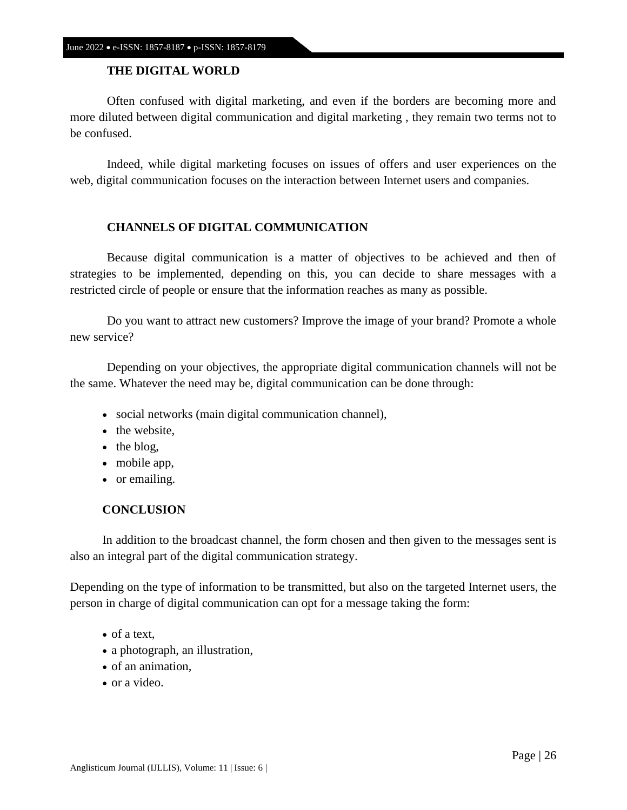# **THE DIGITAL WORLD**

Often confused with digital marketing, and even if the borders are becoming more and more diluted between digital communication and digital marketing , they remain two terms not to be confused.

Indeed, while digital marketing focuses on issues of offers and user experiences on the web, digital communication focuses on the interaction between Internet users and companies.

## **CHANNELS OF DIGITAL COMMUNICATION**

Because digital communication is a matter of objectives to be achieved and then of strategies to be implemented, depending on this, you can decide to share messages with a restricted circle of people or ensure that the information reaches as many as possible.

Do you want to attract new customers? Improve the image of your brand? Promote a whole new service?

Depending on your objectives, the appropriate digital communication channels will not be the same. Whatever the need may be, digital communication can be done through:

- social networks (main digital communication channel),
- the website.
- $\bullet$  the blog,
- mobile app,
- or emailing.

## **CONCLUSION**

In addition to the broadcast channel, the form chosen and then given to the messages sent is also an integral part of the digital communication strategy.

Depending on the type of information to be transmitted, but also on the targeted Internet users, the person in charge of digital communication can opt for a message taking the form:

- of a text.
- a photograph, an illustration,
- of an animation,
- or a video.